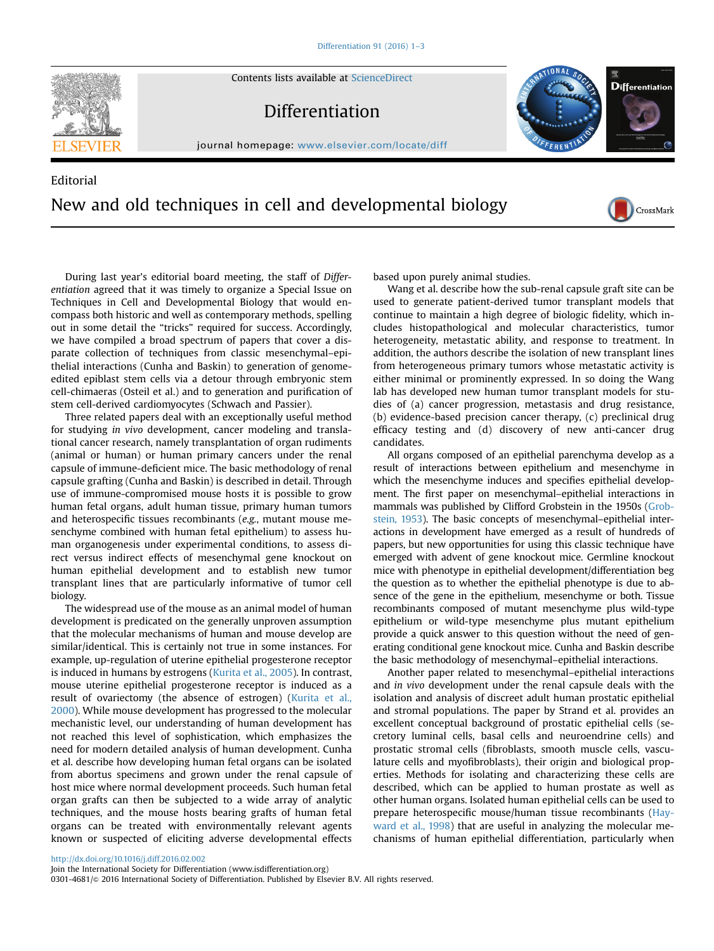

Contents lists available at [ScienceDirect](www.sciencedirect.com/science/journal/03014681)

## Differentiation



journal homepage: <www.elsevier.com/locate/diff>

## Editorial New and old techniques in cell and developmental biology



During last year's editorial board meeting, the staff of Differentiation agreed that it was timely to organize a Special Issue on Techniques in Cell and Developmental Biology that would encompass both historic and well as contemporary methods, spelling out in some detail the "tricks" required for success. Accordingly, we have compiled a broad spectrum of papers that cover a disparate collection of techniques from classic mesenchymal–epithelial interactions (Cunha and Baskin) to generation of genomeedited epiblast stem cells via a detour through embryonic stem cell-chimaeras (Osteil et al.) and to generation and purification of stem cell-derived cardiomyocytes (Schwach and Passier).

Three related papers deal with an exceptionally useful method for studying in vivo development, cancer modeling and translational cancer research, namely transplantation of organ rudiments (animal or human) or human primary cancers under the renal capsule of immune-deficient mice. The basic methodology of renal capsule grafting (Cunha and Baskin) is described in detail. Through use of immune-compromised mouse hosts it is possible to grow human fetal organs, adult human tissue, primary human tumors and heterospecific tissues recombinants (e.g., mutant mouse mesenchyme combined with human fetal epithelium) to assess human organogenesis under experimental conditions, to assess direct versus indirect effects of mesenchymal gene knockout on human epithelial development and to establish new tumor transplant lines that are particularly informative of tumor cell biology.

The widespread use of the mouse as an animal model of human development is predicated on the generally unproven assumption that the molecular mechanisms of human and mouse develop are similar/identical. This is certainly not true in some instances. For example, up-regulation of uterine epithelial progesterone receptor is induced in humans by estrogens ([Kurita et al., 2005](#page-2-0)). In contrast, mouse uterine epithelial progesterone receptor is induced as a result of ovariectomy (the absence of estrogen) [\(Kurita et al.,](#page-2-0) [2000](#page-2-0)). While mouse development has progressed to the molecular mechanistic level, our understanding of human development has not reached this level of sophistication, which emphasizes the need for modern detailed analysis of human development. Cunha et al. describe how developing human fetal organs can be isolated from abortus specimens and grown under the renal capsule of host mice where normal development proceeds. Such human fetal organ grafts can then be subjected to a wide array of analytic techniques, and the mouse hosts bearing grafts of human fetal organs can be treated with environmentally relevant agents known or suspected of eliciting adverse developmental effects

based upon purely animal studies.

Wang et al. describe how the sub-renal capsule graft site can be used to generate patient-derived tumor transplant models that continue to maintain a high degree of biologic fidelity, which includes histopathological and molecular characteristics, tumor heterogeneity, metastatic ability, and response to treatment. In addition, the authors describe the isolation of new transplant lines from heterogeneous primary tumors whose metastatic activity is either minimal or prominently expressed. In so doing the Wang lab has developed new human tumor transplant models for studies of (a) cancer progression, metastasis and drug resistance, (b) evidence-based precision cancer therapy, (c) preclinical drug efficacy testing and (d) discovery of new anti-cancer drug candidates.

All organs composed of an epithelial parenchyma develop as a result of interactions between epithelium and mesenchyme in which the mesenchyme induces and specifies epithelial development. The first paper on mesenchymal–epithelial interactions in mammals was published by Clifford Grobstein in the 1950s [\(Grob](#page-2-0)[stein, 1953](#page-2-0)). The basic concepts of mesenchymal–epithelial interactions in development have emerged as a result of hundreds of papers, but new opportunities for using this classic technique have emerged with advent of gene knockout mice. Germline knockout mice with phenotype in epithelial development/differentiation beg the question as to whether the epithelial phenotype is due to absence of the gene in the epithelium, mesenchyme or both. Tissue recombinants composed of mutant mesenchyme plus wild-type epithelium or wild-type mesenchyme plus mutant epithelium provide a quick answer to this question without the need of generating conditional gene knockout mice. Cunha and Baskin describe the basic methodology of mesenchymal–epithelial interactions.

Another paper related to mesenchymal–epithelial interactions and in vivo development under the renal capsule deals with the isolation and analysis of discreet adult human prostatic epithelial and stromal populations. The paper by Strand et al. provides an excellent conceptual background of prostatic epithelial cells (secretory luminal cells, basal cells and neuroendrine cells) and prostatic stromal cells (fibroblasts, smooth muscle cells, vasculature cells and myofibroblasts), their origin and biological properties. Methods for isolating and characterizing these cells are described, which can be applied to human prostate as well as other human organs. Isolated human epithelial cells can be used to prepare heterospecific mouse/human tissue recombinants [\(Hay](#page-2-0)[ward et al., 1998\)](#page-2-0) that are useful in analyzing the molecular mechanisms of human epithelial differentiation, particularly when

<http://dx.doi.org/10.1016/j.diff.2016.02.002>

Join the International Society for Differentiation (www.isdifferentiation.org)

0301-4681/ $\circ$  2016 International Society of Differentiation. Published by Elsevier B.V. All rights reserved.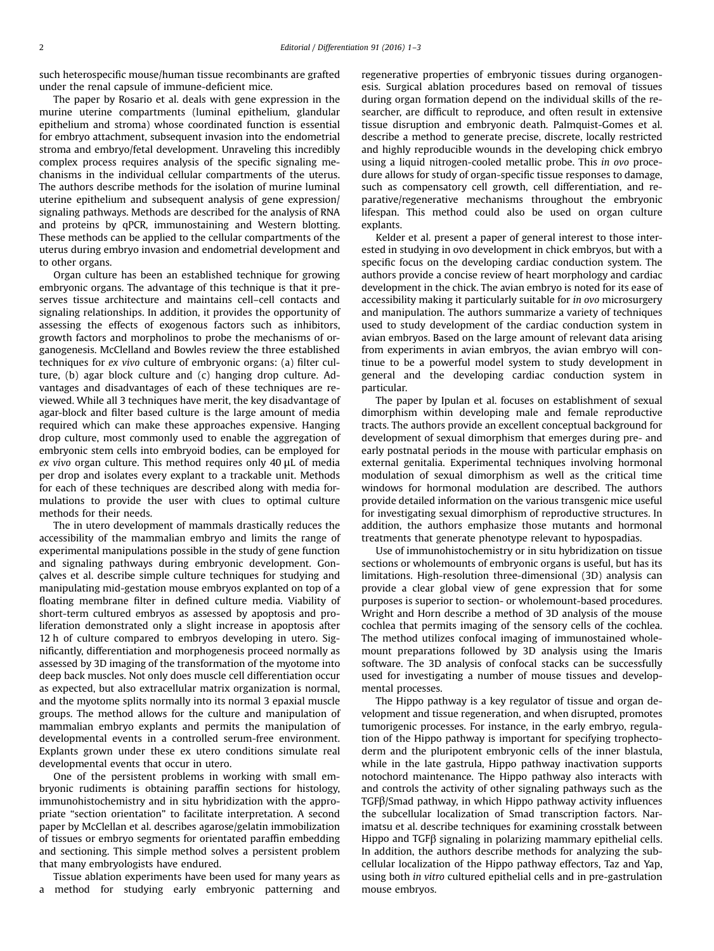such heterospecific mouse/human tissue recombinants are grafted under the renal capsule of immune-deficient mice.

The paper by Rosario et al. deals with gene expression in the murine uterine compartments (luminal epithelium, glandular epithelium and stroma) whose coordinated function is essential for embryo attachment, subsequent invasion into the endometrial stroma and embryo/fetal development. Unraveling this incredibly complex process requires analysis of the specific signaling mechanisms in the individual cellular compartments of the uterus. The authors describe methods for the isolation of murine luminal uterine epithelium and subsequent analysis of gene expression/ signaling pathways. Methods are described for the analysis of RNA and proteins by qPCR, immunostaining and Western blotting. These methods can be applied to the cellular compartments of the uterus during embryo invasion and endometrial development and to other organs.

Organ culture has been an established technique for growing embryonic organs. The advantage of this technique is that it preserves tissue architecture and maintains cell–cell contacts and signaling relationships. In addition, it provides the opportunity of assessing the effects of exogenous factors such as inhibitors, growth factors and morpholinos to probe the mechanisms of organogenesis. McClelland and Bowles review the three established techniques for ex vivo culture of embryonic organs: (a) filter culture, (b) agar block culture and (c) hanging drop culture. Advantages and disadvantages of each of these techniques are reviewed. While all 3 techniques have merit, the key disadvantage of agar-block and filter based culture is the large amount of media required which can make these approaches expensive. Hanging drop culture, most commonly used to enable the aggregation of embryonic stem cells into embryoid bodies, can be employed for ex vivo organ culture. This method requires only 40 μL of media per drop and isolates every explant to a trackable unit. Methods for each of these techniques are described along with media formulations to provide the user with clues to optimal culture methods for their needs.

The in utero development of mammals drastically reduces the accessibility of the mammalian embryo and limits the range of experimental manipulations possible in the study of gene function and signaling pathways during embryonic development. Gonçalves et al. describe simple culture techniques for studying and manipulating mid-gestation mouse embryos explanted on top of a floating membrane filter in defined culture media. Viability of short-term cultured embryos as assessed by apoptosis and proliferation demonstrated only a slight increase in apoptosis after 12 h of culture compared to embryos developing in utero. Significantly, differentiation and morphogenesis proceed normally as assessed by 3D imaging of the transformation of the myotome into deep back muscles. Not only does muscle cell differentiation occur as expected, but also extracellular matrix organization is normal, and the myotome splits normally into its normal 3 epaxial muscle groups. The method allows for the culture and manipulation of mammalian embryo explants and permits the manipulation of developmental events in a controlled serum-free environment. Explants grown under these ex utero conditions simulate real developmental events that occur in utero.

One of the persistent problems in working with small embryonic rudiments is obtaining paraffin sections for histology, immunohistochemistry and in situ hybridization with the appropriate "section orientation" to facilitate interpretation. A second paper by McClellan et al. describes agarose/gelatin immobilization of tissues or embryo segments for orientated paraffin embedding and sectioning. This simple method solves a persistent problem that many embryologists have endured.

Tissue ablation experiments have been used for many years as a method for studying early embryonic patterning and regenerative properties of embryonic tissues during organogenesis. Surgical ablation procedures based on removal of tissues during organ formation depend on the individual skills of the researcher, are difficult to reproduce, and often result in extensive tissue disruption and embryonic death. Palmquist-Gomes et al. describe a method to generate precise, discrete, locally restricted and highly reproducible wounds in the developing chick embryo using a liquid nitrogen-cooled metallic probe. This in ovo procedure allows for study of organ-specific tissue responses to damage, such as compensatory cell growth, cell differentiation, and reparative/regenerative mechanisms throughout the embryonic lifespan. This method could also be used on organ culture explants.

Kelder et al. present a paper of general interest to those interested in studying in ovo development in chick embryos, but with a specific focus on the developing cardiac conduction system. The authors provide a concise review of heart morphology and cardiac development in the chick. The avian embryo is noted for its ease of accessibility making it particularly suitable for in ovo microsurgery and manipulation. The authors summarize a variety of techniques used to study development of the cardiac conduction system in avian embryos. Based on the large amount of relevant data arising from experiments in avian embryos, the avian embryo will continue to be a powerful model system to study development in general and the developing cardiac conduction system in particular.

The paper by Ipulan et al. focuses on establishment of sexual dimorphism within developing male and female reproductive tracts. The authors provide an excellent conceptual background for development of sexual dimorphism that emerges during pre- and early postnatal periods in the mouse with particular emphasis on external genitalia. Experimental techniques involving hormonal modulation of sexual dimorphism as well as the critical time windows for hormonal modulation are described. The authors provide detailed information on the various transgenic mice useful for investigating sexual dimorphism of reproductive structures. In addition, the authors emphasize those mutants and hormonal treatments that generate phenotype relevant to hypospadias.

Use of immunohistochemistry or in situ hybridization on tissue sections or wholemounts of embryonic organs is useful, but has its limitations. High-resolution three-dimensional (3D) analysis can provide a clear global view of gene expression that for some purposes is superior to section- or wholemount-based procedures. Wright and Horn describe a method of 3D analysis of the mouse cochlea that permits imaging of the sensory cells of the cochlea. The method utilizes confocal imaging of immunostained wholemount preparations followed by 3D analysis using the Imaris software. The 3D analysis of confocal stacks can be successfully used for investigating a number of mouse tissues and developmental processes.

The Hippo pathway is a key regulator of tissue and organ development and tissue regeneration, and when disrupted, promotes tumorigenic processes. For instance, in the early embryo, regulation of the Hippo pathway is important for specifying trophectoderm and the pluripotent embryonic cells of the inner blastula, while in the late gastrula, Hippo pathway inactivation supports notochord maintenance. The Hippo pathway also interacts with and controls the activity of other signaling pathways such as the TGFβ/Smad pathway, in which Hippo pathway activity influences the subcellular localization of Smad transcription factors. Narimatsu et al. describe techniques for examining crosstalk between Hippo and TGFβ signaling in polarizing mammary epithelial cells. In addition, the authors describe methods for analyzing the subcellular localization of the Hippo pathway effectors, Taz and Yap, using both in vitro cultured epithelial cells and in pre-gastrulation mouse embryos.